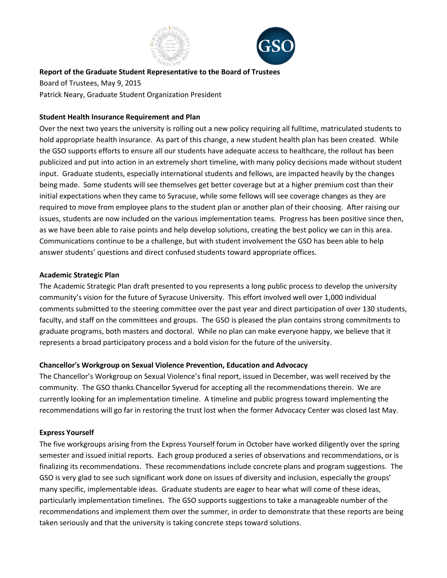



**Report of the Graduate Student Representative to the Board of Trustees** Board of Trustees, May 9, 2015 Patrick Neary, Graduate Student Organization President

## **Student Health Insurance Requirement and Plan**

Over the next two years the university is rolling out a new policy requiring all fulltime, matriculated students to hold appropriate health insurance. As part of this change, a new student health plan has been created. While the GSO supports efforts to ensure all our students have adequate access to healthcare, the rollout has been publicized and put into action in an extremely short timeline, with many policy decisions made without student input. Graduate students, especially international students and fellows, are impacted heavily by the changes being made. Some students will see themselves get better coverage but at a higher premium cost than their initial expectations when they came to Syracuse, while some fellows will see coverage changes as they are required to move from employee plans to the student plan or another plan of their choosing. After raising our issues, students are now included on the various implementation teams. Progress has been positive since then, as we have been able to raise points and help develop solutions, creating the best policy we can in this area. Communications continue to be a challenge, but with student involvement the GSO has been able to help answer students' questions and direct confused students toward appropriate offices.

## **Academic Strategic Plan**

The Academic Strategic Plan draft presented to you represents a long public process to develop the university community's vision for the future of Syracuse University. This effort involved well over 1,000 individual comments submitted to the steering committee over the past year and direct participation of over 130 students, faculty, and staff on the committees and groups. The GSO is pleased the plan contains strong commitments to graduate programs, both masters and doctoral. While no plan can make everyone happy, we believe that it represents a broad participatory process and a bold vision for the future of the university.

# **Chancellor's Workgroup on Sexual Violence Prevention, Education and Advocacy**

The Chancellor's Workgroup on Sexual Violence's final report, issued in December, was well received by the community. The GSO thanks Chancellor Syverud for accepting all the recommendations therein. We are currently looking for an implementation timeline. A timeline and public progress toward implementing the recommendations will go far in restoring the trust lost when the former Advocacy Center was closed last May.

# **Express Yourself**

The five workgroups arising from the Express Yourself forum in October have worked diligently over the spring semester and issued initial reports. Each group produced a series of observations and recommendations, or is finalizing its recommendations. These recommendations include concrete plans and program suggestions. The GSO is very glad to see such significant work done on issues of diversity and inclusion, especially the groups' many specific, implementable ideas. Graduate students are eager to hear what will come of these ideas, particularly implementation timelines. The GSO supports suggestions to take a manageable number of the recommendations and implement them over the summer, in order to demonstrate that these reports are being taken seriously and that the university is taking concrete steps toward solutions.